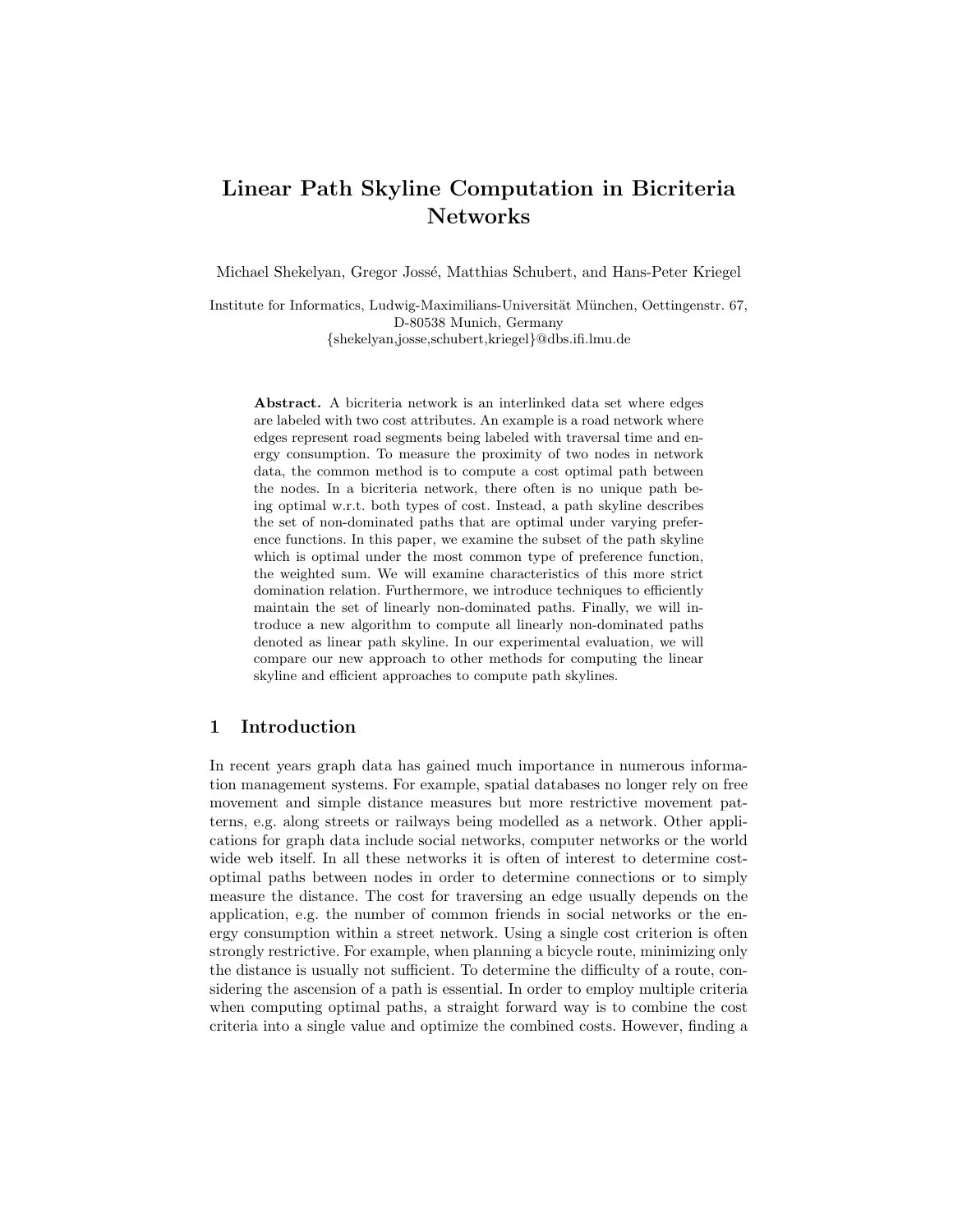# Linear Path Skyline Computation in Bicriteria Networks

Michael Shekelyan, Gregor Jossé, Matthias Schubert, and Hans-Peter Kriegel

Institute for Informatics, Ludwig-Maximilians-Universität München, Oettingenstr. 67, D-80538 Munich, Germany {shekelyan,josse,schubert,kriegel}@dbs.ifi.lmu.de

Abstract. A bicriteria network is an interlinked data set where edges are labeled with two cost attributes. An example is a road network where edges represent road segments being labeled with traversal time and energy consumption. To measure the proximity of two nodes in network data, the common method is to compute a cost optimal path between the nodes. In a bicriteria network, there often is no unique path being optimal w.r.t. both types of cost. Instead, a path skyline describes the set of non-dominated paths that are optimal under varying preference functions. In this paper, we examine the subset of the path skyline which is optimal under the most common type of preference function, the weighted sum. We will examine characteristics of this more strict domination relation. Furthermore, we introduce techniques to efficiently maintain the set of linearly non-dominated paths. Finally, we will introduce a new algorithm to compute all linearly non-dominated paths denoted as linear path skyline. In our experimental evaluation, we will compare our new approach to other methods for computing the linear skyline and efficient approaches to compute path skylines.

# 1 Introduction

In recent years graph data has gained much importance in numerous information management systems. For example, spatial databases no longer rely on free movement and simple distance measures but more restrictive movement patterns, e.g. along streets or railways being modelled as a network. Other applications for graph data include social networks, computer networks or the world wide web itself. In all these networks it is often of interest to determine costoptimal paths between nodes in order to determine connections or to simply measure the distance. The cost for traversing an edge usually depends on the application, e.g. the number of common friends in social networks or the energy consumption within a street network. Using a single cost criterion is often strongly restrictive. For example, when planning a bicycle route, minimizing only the distance is usually not sufficient. To determine the difficulty of a route, considering the ascension of a path is essential. In order to employ multiple criteria when computing optimal paths, a straight forward way is to combine the cost criteria into a single value and optimize the combined costs. However, finding a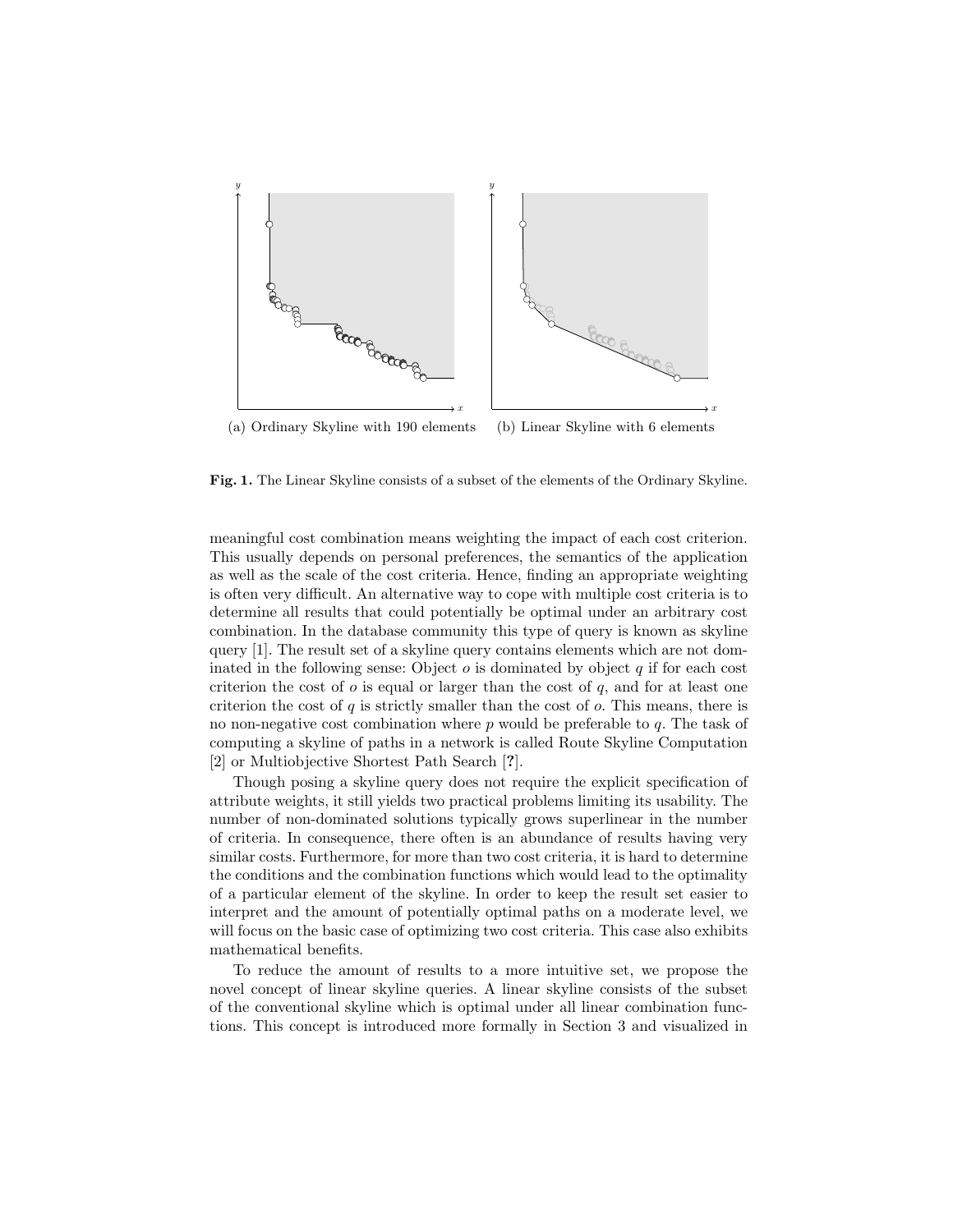

Fig. 1. The Linear Skyline consists of a subset of the elements of the Ordinary Skyline.

meaningful cost combination means weighting the impact of each cost criterion. This usually depends on personal preferences, the semantics of the application as well as the scale of the cost criteria. Hence, finding an appropriate weighting is often very difficult. An alternative way to cope with multiple cost criteria is to determine all results that could potentially be optimal under an arbitrary cost combination. In the database community this type of query is known as skyline query [1]. The result set of a skyline query contains elements which are not dominated in the following sense: Object  $\sigma$  is dominated by object  $q$  if for each cost criterion the cost of  $\sigma$  is equal or larger than the cost of  $q$ , and for at least one criterion the cost of q is strictly smaller than the cost of  $o$ . This means, there is no non-negative cost combination where  $p$  would be preferable to  $q$ . The task of computing a skyline of paths in a network is called Route Skyline Computation [2] or Multiobjective Shortest Path Search [?].

Though posing a skyline query does not require the explicit specification of attribute weights, it still yields two practical problems limiting its usability. The number of non-dominated solutions typically grows superlinear in the number of criteria. In consequence, there often is an abundance of results having very similar costs. Furthermore, for more than two cost criteria, it is hard to determine the conditions and the combination functions which would lead to the optimality of a particular element of the skyline. In order to keep the result set easier to interpret and the amount of potentially optimal paths on a moderate level, we will focus on the basic case of optimizing two cost criteria. This case also exhibits mathematical benefits.

To reduce the amount of results to a more intuitive set, we propose the novel concept of linear skyline queries. A linear skyline consists of the subset of the conventional skyline which is optimal under all linear combination functions. This concept is introduced more formally in Section 3 and visualized in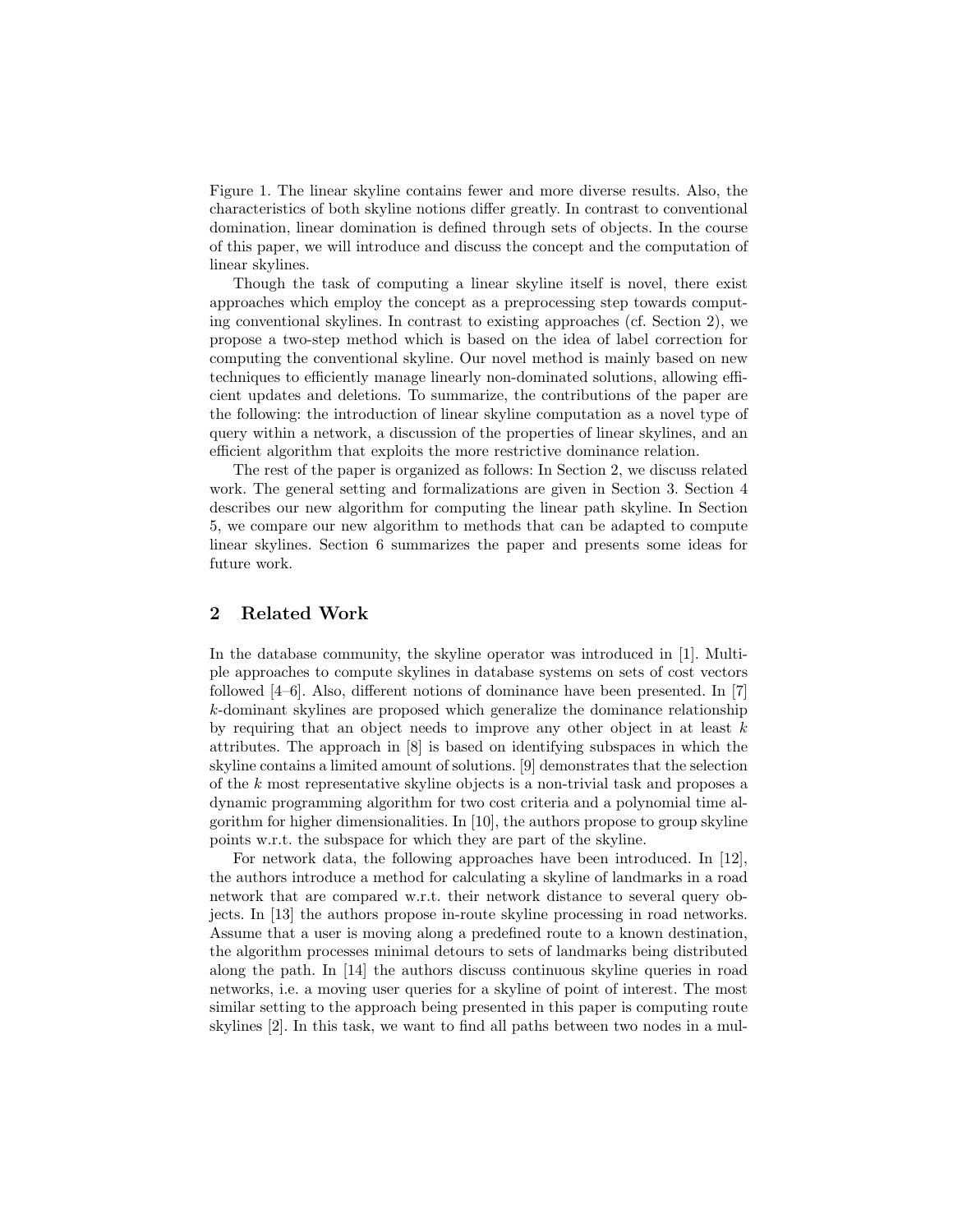Figure 1. The linear skyline contains fewer and more diverse results. Also, the characteristics of both skyline notions differ greatly. In contrast to conventional domination, linear domination is defined through sets of objects. In the course of this paper, we will introduce and discuss the concept and the computation of linear skylines.

Though the task of computing a linear skyline itself is novel, there exist approaches which employ the concept as a preprocessing step towards computing conventional skylines. In contrast to existing approaches (cf. Section 2), we propose a two-step method which is based on the idea of label correction for computing the conventional skyline. Our novel method is mainly based on new techniques to efficiently manage linearly non-dominated solutions, allowing efficient updates and deletions. To summarize, the contributions of the paper are the following: the introduction of linear skyline computation as a novel type of query within a network, a discussion of the properties of linear skylines, and an efficient algorithm that exploits the more restrictive dominance relation.

The rest of the paper is organized as follows: In Section 2, we discuss related work. The general setting and formalizations are given in Section 3. Section 4 describes our new algorithm for computing the linear path skyline. In Section 5, we compare our new algorithm to methods that can be adapted to compute linear skylines. Section 6 summarizes the paper and presents some ideas for future work.

## 2 Related Work

In the database community, the skyline operator was introduced in [1]. Multiple approaches to compute skylines in database systems on sets of cost vectors followed [4–6]. Also, different notions of dominance have been presented. In [7] k-dominant skylines are proposed which generalize the dominance relationship by requiring that an object needs to improve any other object in at least  $k$ attributes. The approach in [8] is based on identifying subspaces in which the skyline contains a limited amount of solutions. [9] demonstrates that the selection of the k most representative skyline objects is a non-trivial task and proposes a dynamic programming algorithm for two cost criteria and a polynomial time algorithm for higher dimensionalities. In [10], the authors propose to group skyline points w.r.t. the subspace for which they are part of the skyline.

For network data, the following approaches have been introduced. In [12], the authors introduce a method for calculating a skyline of landmarks in a road network that are compared w.r.t. their network distance to several query objects. In [13] the authors propose in-route skyline processing in road networks. Assume that a user is moving along a predefined route to a known destination, the algorithm processes minimal detours to sets of landmarks being distributed along the path. In [14] the authors discuss continuous skyline queries in road networks, i.e. a moving user queries for a skyline of point of interest. The most similar setting to the approach being presented in this paper is computing route skylines [2]. In this task, we want to find all paths between two nodes in a mul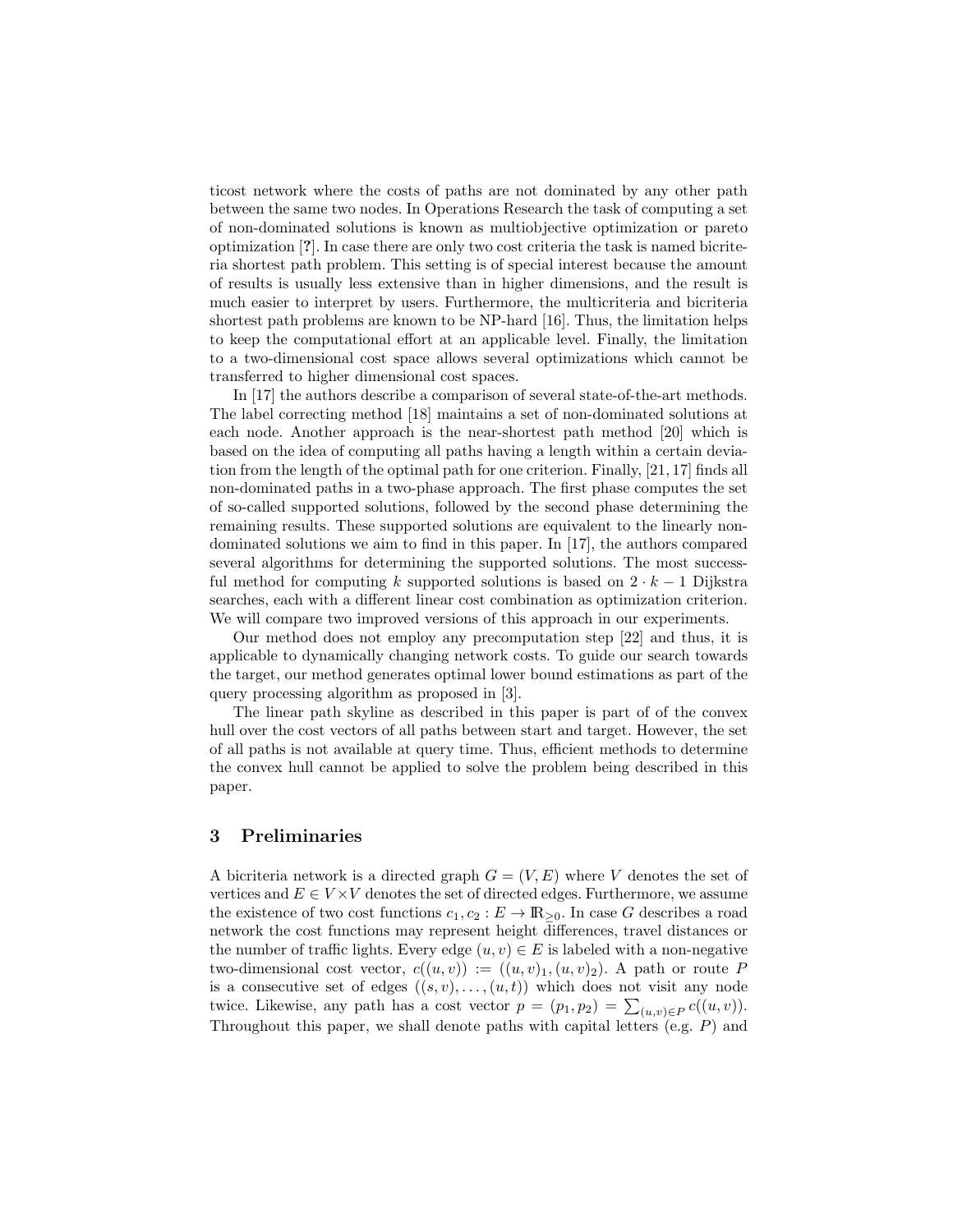ticost network where the costs of paths are not dominated by any other path between the same two nodes. In Operations Research the task of computing a set of non-dominated solutions is known as multiobjective optimization or pareto optimization [?]. In case there are only two cost criteria the task is named bicriteria shortest path problem. This setting is of special interest because the amount of results is usually less extensive than in higher dimensions, and the result is much easier to interpret by users. Furthermore, the multicriteria and bicriteria shortest path problems are known to be NP-hard [16]. Thus, the limitation helps to keep the computational effort at an applicable level. Finally, the limitation to a two-dimensional cost space allows several optimizations which cannot be transferred to higher dimensional cost spaces.

In [17] the authors describe a comparison of several state-of-the-art methods. The label correcting method [18] maintains a set of non-dominated solutions at each node. Another approach is the near-shortest path method [20] which is based on the idea of computing all paths having a length within a certain deviation from the length of the optimal path for one criterion. Finally, [21, 17] finds all non-dominated paths in a two-phase approach. The first phase computes the set of so-called supported solutions, followed by the second phase determining the remaining results. These supported solutions are equivalent to the linearly nondominated solutions we aim to find in this paper. In [17], the authors compared several algorithms for determining the supported solutions. The most successful method for computing k supported solutions is based on  $2 \cdot k - 1$  Dijkstra searches, each with a different linear cost combination as optimization criterion. We will compare two improved versions of this approach in our experiments.

Our method does not employ any precomputation step [22] and thus, it is applicable to dynamically changing network costs. To guide our search towards the target, our method generates optimal lower bound estimations as part of the query processing algorithm as proposed in [3].

The linear path skyline as described in this paper is part of of the convex hull over the cost vectors of all paths between start and target. However, the set of all paths is not available at query time. Thus, efficient methods to determine the convex hull cannot be applied to solve the problem being described in this paper.

### 3 Preliminaries

A bicriteria network is a directed graph  $G = (V, E)$  where V denotes the set of vertices and  $E \in V \times V$  denotes the set of directed edges. Furthermore, we assume the existence of two cost functions  $c_1, c_2 : E \to \mathbb{R}_{\geq 0}$ . In case G describes a road network the cost functions may represent height differences, travel distances or the number of traffic lights. Every edge  $(u, v) \in E$  is labeled with a non-negative two-dimensional cost vector,  $c((u, v)) := ((u, v)_1, (u, v)_2)$ . A path or route P is a consecutive set of edges  $((s, v), \ldots, (u, t))$  which does not visit any node twice. Likewise, any path has a cost vector  $p = (p_1, p_2) = \sum_{(u,v)\in P} c((u, v))$ . Throughout this paper, we shall denote paths with capital letters  $(e.g. P)$  and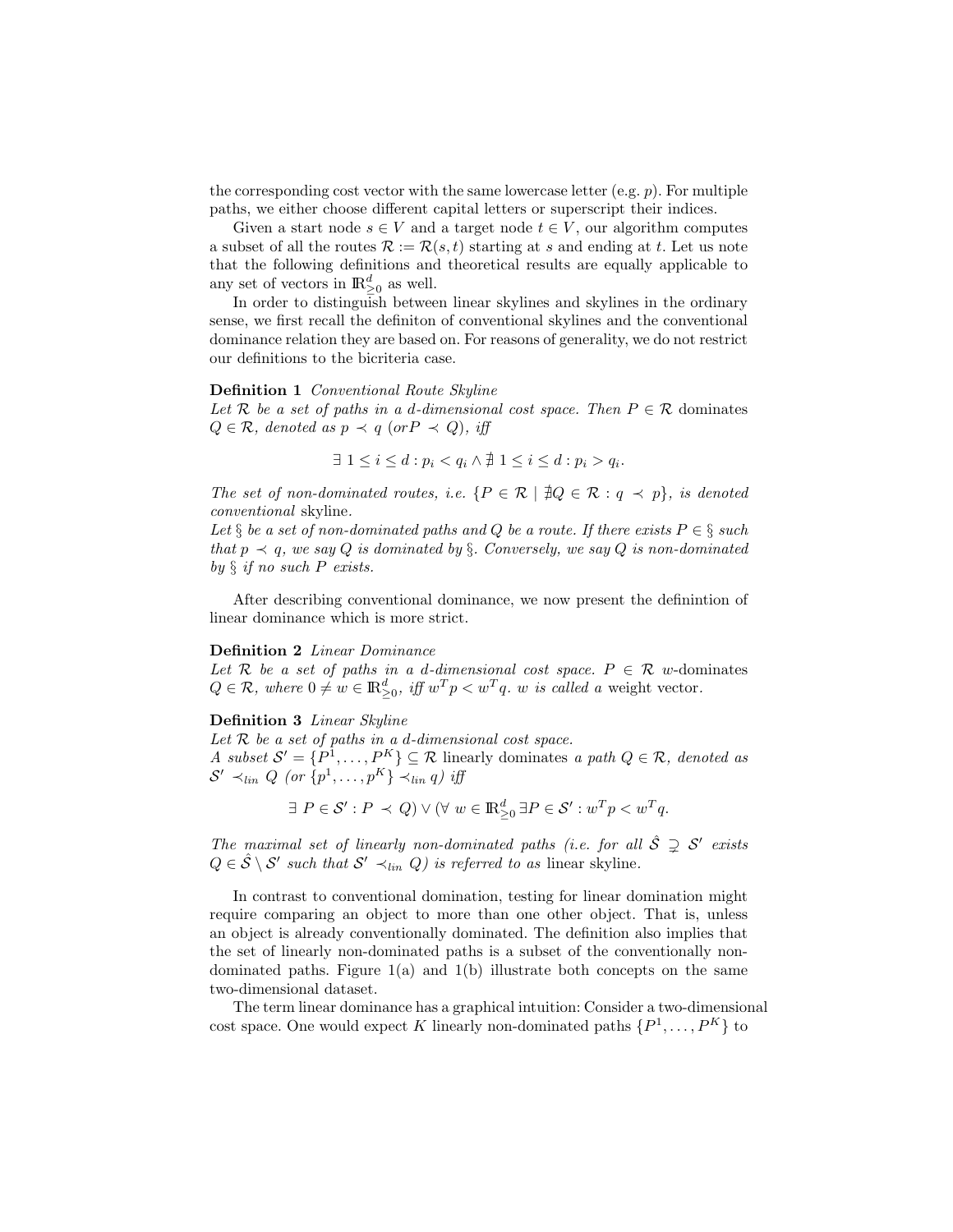the corresponding cost vector with the same lowercase letter (e.g.  $p$ ). For multiple paths, we either choose different capital letters or superscript their indices.

Given a start node  $s \in V$  and a target node  $t \in V$ , our algorithm computes a subset of all the routes  $\mathcal{R} := \mathcal{R}(s, t)$  starting at s and ending at t. Let us note that the following definitions and theoretical results are equally applicable to any set of vectors in  $\mathbb{R}^d_{\geq 0}$  as well.

In order to distinguish between linear skylines and skylines in the ordinary sense, we first recall the definiton of conventional skylines and the conventional dominance relation they are based on. For reasons of generality, we do not restrict our definitions to the bicriteria case.

#### Definition 1 Conventional Route Skyline

Let R be a set of paths in a d-dimensional cost space. Then  $P \in \mathcal{R}$  dominates  $Q \in \mathcal{R}$ , denoted as  $p \prec q$  (or  $P \prec Q$ ), iff

$$
\exists \ 1 \leq i \leq d : p_i < q_i \land \nexists \ 1 \leq i \leq d : p_i > q_i.
$$

The set of non-dominated routes, i.e.  $\{P \in \mathcal{R} \mid \nexists Q \in \mathcal{R} : q \prec p\}$ , is denoted conventional skyline.

Let  $\S$  be a set of non-dominated paths and Q be a route. If there exists  $P \in \S$  such that  $p \prec q$ , we say Q is dominated by §. Conversely, we say Q is non-dominated by  $\S$  if no such P exists.

After describing conventional dominance, we now present the definintion of linear dominance which is more strict.

#### Definition 2 Linear Dominance

Let R be a set of paths in a d-dimensional cost space.  $P \in \mathcal{R}$  w-dominates  $Q \in \mathcal{R}$ , where  $0 \neq w \in \mathbb{R}_{\geq 0}^d$ , iff  $w^T p < w^T q$ . w is called a weight vector.

#### Definition 3 Linear Skyline

Let  $R$  be a set of paths in a d-dimensional cost space. A subset  $\mathcal{S}' = \{P^1, \ldots, P^K\} \subseteq \mathcal{R}$  linearly dominates a path  $Q \in \mathcal{R}$ , denoted as  $\mathcal{S}' \prec_{lin} Q$  (or  $\{p^1, \ldots, p^K\} \prec_{lin} q$ ) iff

$$
\exists P \in \mathcal{S}' : P \prec Q) \vee (\forall w \in \mathbb{R}_{\geq 0}^d \exists P \in \mathcal{S}' : w^T p < w^T q.
$$

The maximal set of linearly non-dominated paths (i.e. for all  $\hat{S} \supsetneq S'$  exists  $Q \in \hat{\mathcal{S}} \setminus \mathcal{S}'$  such that  $\mathcal{S}' \prec_{lin} Q$ ) is referred to as linear skyline.

In contrast to conventional domination, testing for linear domination might require comparing an object to more than one other object. That is, unless an object is already conventionally dominated. The definition also implies that the set of linearly non-dominated paths is a subset of the conventionally nondominated paths. Figure  $1(a)$  and  $1(b)$  illustrate both concepts on the same two-dimensional dataset.

The term linear dominance has a graphical intuition: Consider a two-dimensional cost space. One would expect K linearly non-dominated paths  $\{P^1,\ldots,P^K\}$  to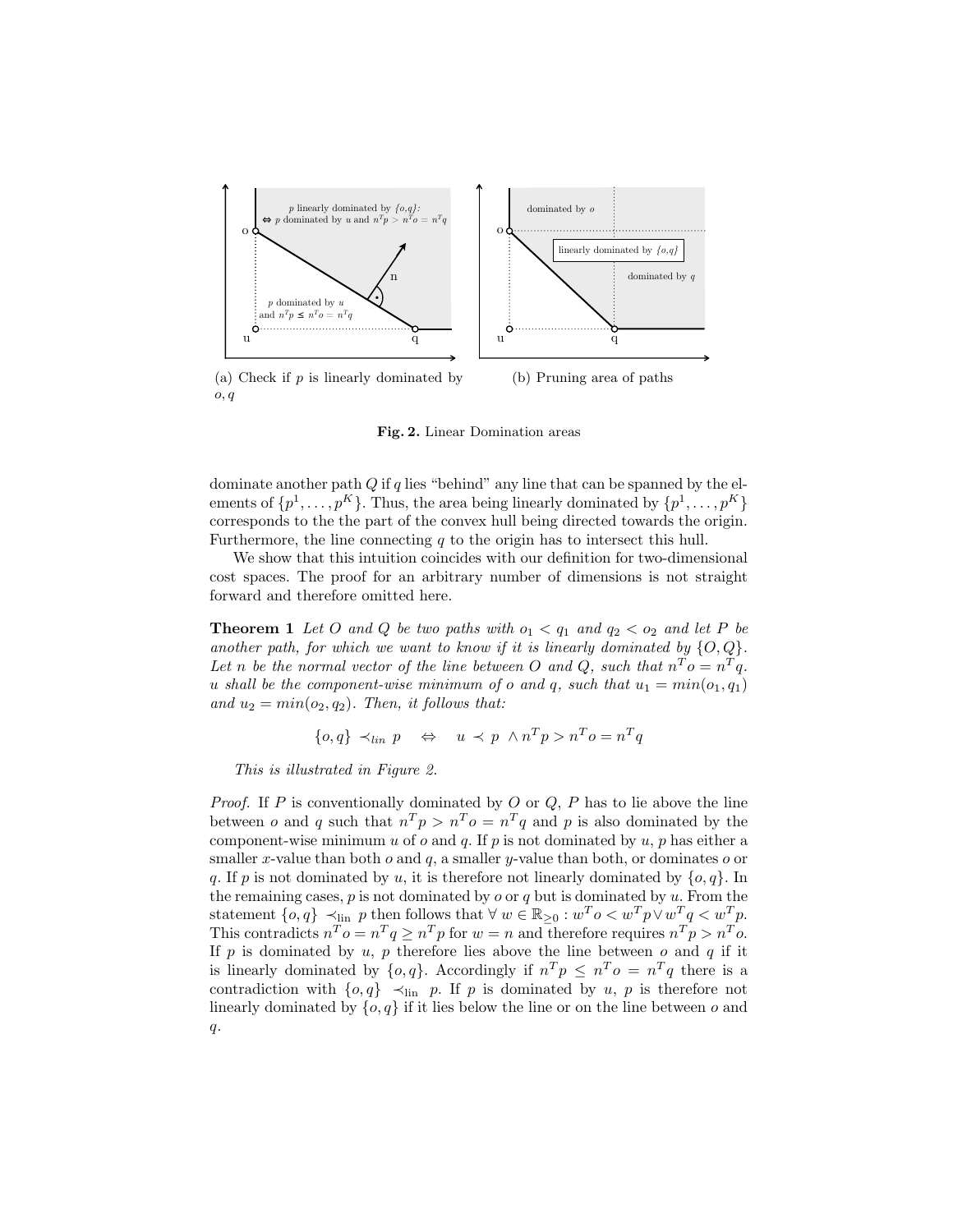

Fig. 2. Linear Domination areas

dominate another path  $Q$  if q lies "behind" any line that can be spanned by the elements of  $\{p^1, \ldots, p^K\}$ . Thus, the area being linearly dominated by  $\{p^1, \ldots, p^K\}$ corresponds to the the part of the convex hull being directed towards the origin. Furthermore, the line connecting  $q$  to the origin has to intersect this hull.

We show that this intuition coincides with our definition for two-dimensional cost spaces. The proof for an arbitrary number of dimensions is not straight forward and therefore omitted here.

**Theorem 1** Let O and Q be two paths with  $o_1 < q_1$  and  $q_2 < o_2$  and let P be another path, for which we want to know if it is linearly dominated by  $\{O, Q\}$ . Let n be the normal vector of the line between O and Q, such that  $n^T o = n^T q$ . u shall be the component-wise minimum of o and q, such that  $u_1 = min(o_1, q_1)$ and  $u_2 = min(o_2, q_2)$ . Then, it follows that:

$$
\{o,q\} \prec_{\lim} p \quad \Leftrightarrow \quad u \prec p \land n^T p > n^T o = n^T q
$$

This is illustrated in Figure 2.

*Proof.* If P is conventionally dominated by O or  $Q$ , P has to lie above the line between *o* and *q* such that  $n^T p > n^T o = n^T q$  and *p* is also dominated by the component-wise minimum u of o and q. If p is not dominated by  $u, p$  has either a smaller x-value than both  $o$  and  $q$ , a smaller y-value than both, or dominates  $o$  or q. If p is not dominated by u, it is therefore not linearly dominated by  $\{o, q\}$ . In the remaining cases,  $p$  is not dominated by  $o$  or  $q$  but is dominated by  $u$ . From the statement  $\{o, q\} \prec_{\text{lin}} p$  then follows that  $\forall w \in \mathbb{R}_{\geq 0} : w^T o \lt w^T p \lor w^T q \lt w^T p$ . This contradicts  $n^T o = n^T q \geq n^T p$  for  $w = n$  and therefore requires  $n^T p > n^T o$ . If p is dominated by  $u, p$  therefore lies above the line between  $o$  and  $q$  if it is linearly dominated by  $\{o, q\}$ . Accordingly if  $n^T p \leq n^T o = n^T q$  there is a contradiction with  $\{o, q\} \prec_{\text{lin}} p$ . If p is dominated by u, p is therefore not linearly dominated by  $\{o, q\}$  if it lies below the line or on the line between o and  $q$ .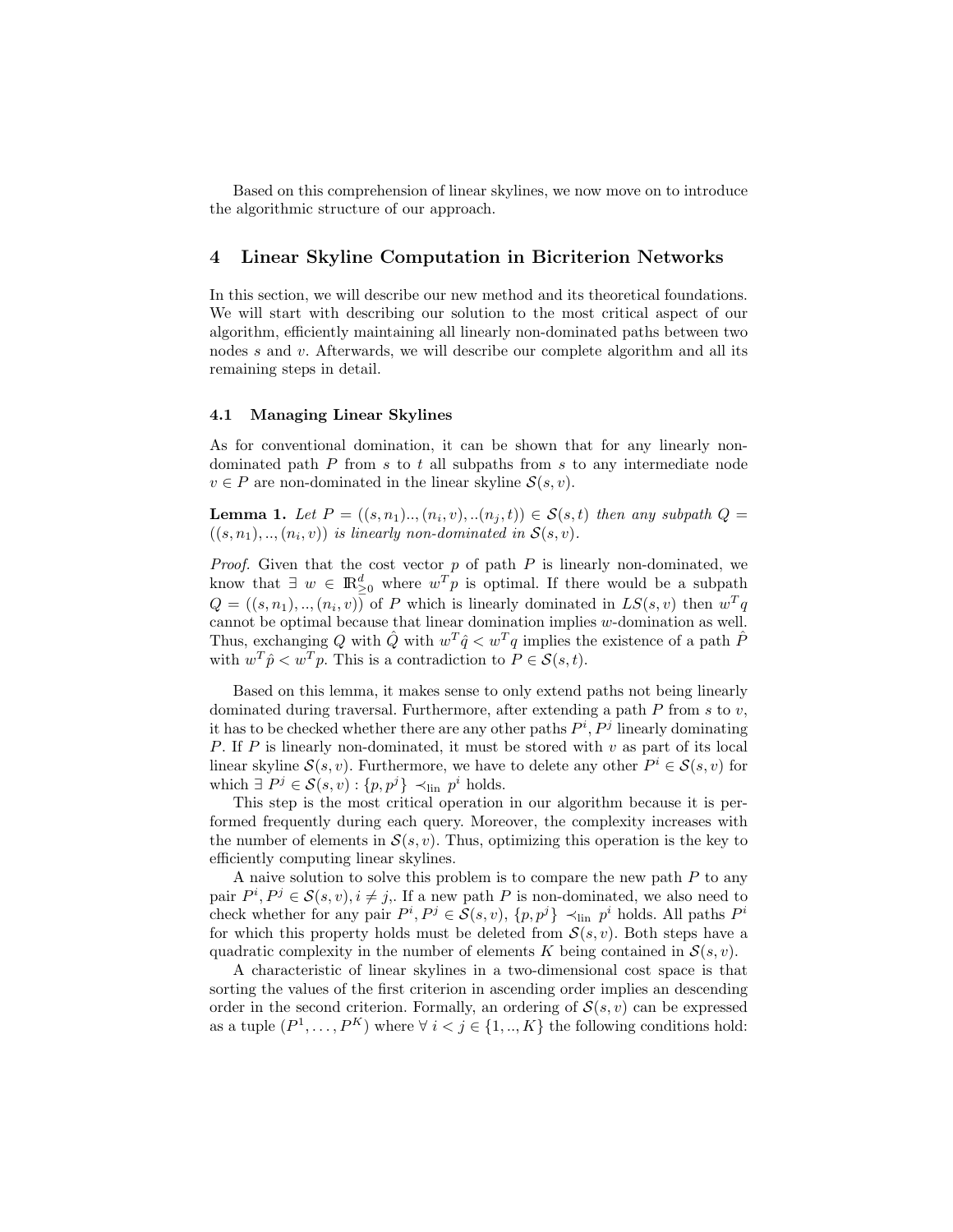Based on this comprehension of linear skylines, we now move on to introduce the algorithmic structure of our approach.

## 4 Linear Skyline Computation in Bicriterion Networks

In this section, we will describe our new method and its theoretical foundations. We will start with describing our solution to the most critical aspect of our algorithm, efficiently maintaining all linearly non-dominated paths between two nodes s and v. Afterwards, we will describe our complete algorithm and all its remaining steps in detail.

#### 4.1 Managing Linear Skylines

As for conventional domination, it can be shown that for any linearly nondominated path  $P$  from  $s$  to  $t$  all subpaths from  $s$  to any intermediate node  $v \in P$  are non-dominated in the linear skyline  $\mathcal{S}(s, v)$ .

**Lemma 1.** Let  $P = ((s, n_1) \dots (n_i, v), \dots (n_j, t)) \in S(s, t)$  then any subpath  $Q =$  $((s, n_1), ..., (n_i, v))$  is linearly non-dominated in  $\mathcal{S}(s, v)$ .

*Proof.* Given that the cost vector  $p$  of path  $P$  is linearly non-dominated, we know that  $\exists w \in \mathbb{R}_{\geq 0}^d$  where  $w^T p$  is optimal. If there would be a subpath  $Q = ((s, n_1), ..., (n_i, v))$  of P which is linearly dominated in  $LS(s, v)$  then  $w^T q$ cannot be optimal because that linear domination implies w-domination as well. Thus, exchanging Q with  $\hat{Q}$  with  $w^T \hat{q} < w^T q$  implies the existence of a path  $\hat{P}$ with  $w^T \hat{p} < w^T p$ . This is a contradiction to  $P \in \mathcal{S}(s, t)$ .

Based on this lemma, it makes sense to only extend paths not being linearly dominated during traversal. Furthermore, after extending a path  $P$  from  $s$  to  $v$ , it has to be checked whether there are any other paths  $P^i, P^j$  linearly dominating P. If P is linearly non-dominated, it must be stored with  $v$  as part of its local linear skyline  $\mathcal{S}(s, v)$ . Furthermore, we have to delete any other  $P^i \in \mathcal{S}(s, v)$  for which  $\exists P^j \in \mathcal{S}(s, v) : \{p, p^j\} \prec_{\text{lin}} p^i \text{ holds.}$ 

This step is the most critical operation in our algorithm because it is performed frequently during each query. Moreover, the complexity increases with the number of elements in  $S(s, v)$ . Thus, optimizing this operation is the key to efficiently computing linear skylines.

A naive solution to solve this problem is to compare the new path  $P$  to any pair  $P^i, P^j \in \mathcal{S}(s, v), i \neq j$ . If a new path P is non-dominated, we also need to check whether for any pair  $P^i, P^j \in \mathcal{S}(s, v), \{p, p^j\} \prec_{\text{lin}} p^i$  holds. All paths  $P^i$ for which this property holds must be deleted from  $S(s, v)$ . Both steps have a quadratic complexity in the number of elements K being contained in  $\mathcal{S}(s, v)$ .

A characteristic of linear skylines in a two-dimensional cost space is that sorting the values of the first criterion in ascending order implies an descending order in the second criterion. Formally, an ordering of  $S(s, v)$  can be expressed as a tuple  $(P^1, \ldots, P^K)$  where  $\forall i < j \in \{1, ..., K\}$  the following conditions hold: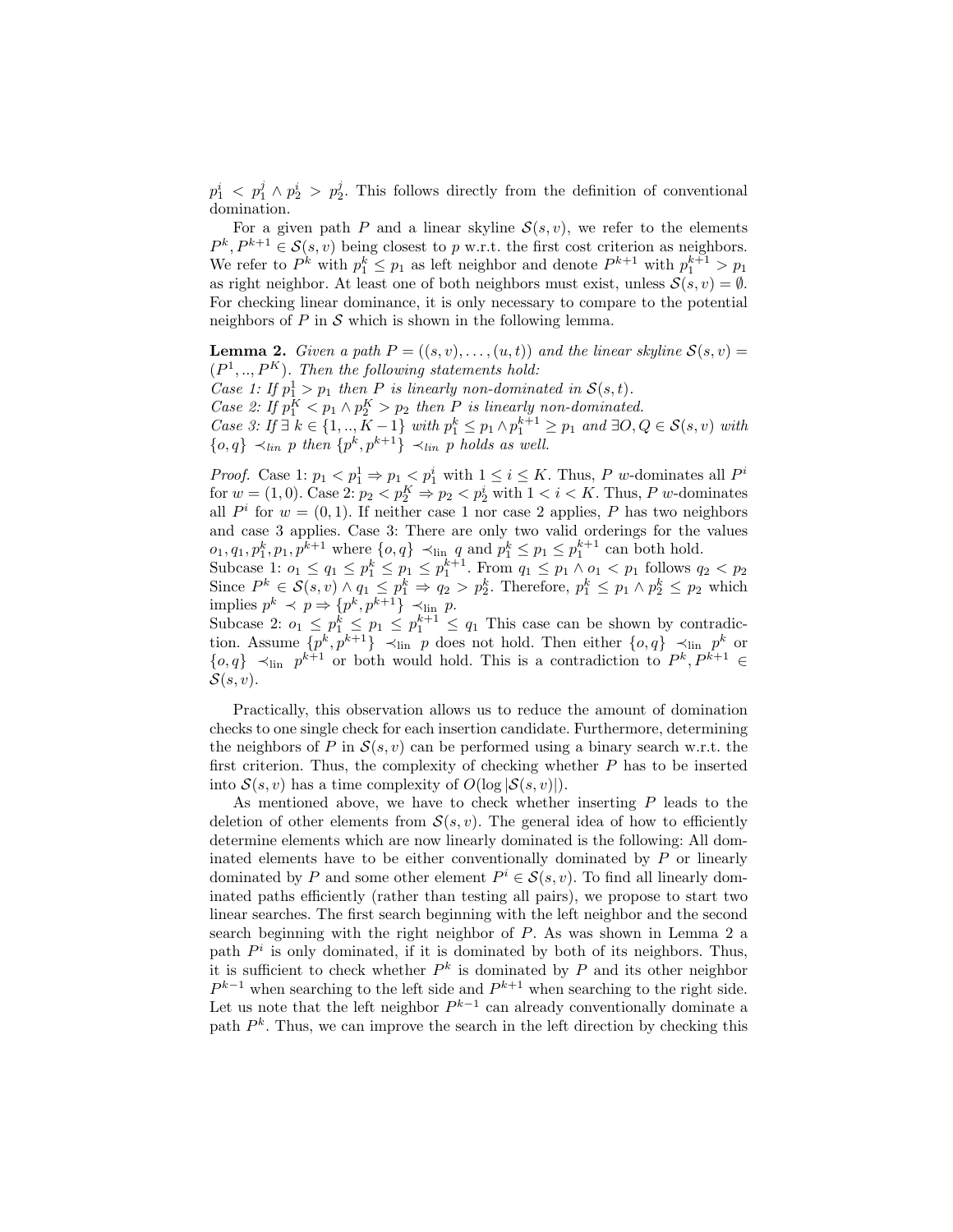$p_1^i$   $\langle p_1^j \wedge p_2^i \rangle$   $\langle p_2^j \rangle$ . This follows directly from the definition of conventional domination.

For a given path P and a linear skyline  $S(s, v)$ , we refer to the elements  $P^k, P^{k+1} \in \mathcal{S}(s, v)$  being closest to p w.r.t. the first cost criterion as neighbors. We refer to  $P^k$  with  $p_1^k \leq p_1$  as left neighbor and denote  $P^{k+1}$  with  $p_1^{k+1} > p_1$ as right neighbor. At least one of both neighbors must exist, unless  $S(s, v) = \emptyset$ . For checking linear dominance, it is only necessary to compare to the potential neighbors of  $P$  in  $S$  which is shown in the following lemma.

**Lemma 2.** Given a path  $P = ((s, v), \ldots, (u, t))$  and the linear skyline  $S(s, v)$  $(P^1,..,P^K)$ . Then the following statements hold: Case 1: If  $p_1^1 > p_1$  then P is linearly non-dominated in  $\mathcal{S}(s,t)$ . Case 2: If  $p_1^K < p_1 \wedge p_2^K > p_2$  then P is linearly non-dominated. Case 3: If  $\exists k \in \{1, ..., K-1\}$  with  $p_1^k \leq p_1 \wedge p_1^{k+1} \geq p_1$  and  $\exists O, Q \in \mathcal{S}(s, v)$  with  $\{o,q\} \prec_{lin} p then \{p^k, p^{k+1}\} \prec_{lin} p holds as well.$ 

*Proof.* Case 1:  $p_1 < p_1^1 \Rightarrow p_1 < p_1^i$  with  $1 \leq i \leq K$ . Thus, P w-dominates all  $P^i$ for  $w = (1, 0)$ . Case 2:  $p_2 < p_2^K \Rightarrow p_2 < p_2^i$  with  $1 < i < K$ . Thus, P w-dominates all  $P^i$  for  $w = (0, 1)$ . If neither case 1 nor case 2 applies, P has two neighbors and case 3 applies. Case 3: There are only two valid orderings for the values  $o_1, q_1, p_1^k, p_1, p^{k+1}$  where  $\{o, q\} \prec_{\text{lin}} q$  and  $p_1^k \leq p_1 \leq p_1^{k+1}$  can both hold.

Subcase 1:  $o_1 \le q_1 \le p_1^k \le p_1 \le p_1^{k+1}$ . From  $q_1 \le p_1 \wedge o_1 < p_1$  follows  $q_2 < p_2$ Since  $P^k \in \mathcal{S}(s, v) \wedge q_1 \leq p_1^k \Rightarrow q_2 > p_2^k$ . Therefore,  $p_1^k \leq p_1 \wedge p_2^k \leq p_2$  which implies  $p^k \prec p \Rightarrow \{p^k, p^{k+1}\}\prec_{\text{lin}} p.$ 

Subcase 2:  $o_1 \n\t\leq p_1^k \leq p_1 \leq p_1^{k+1} \leq q_1$  This case can be shown by contradiction. Assume  $\{p^k, p^{k+1}\}$   $\prec$ <sub>lin</sub> p does not hold. Then either  $\{o, q\}$   $\prec$ <sub>lin</sub> p<sup>k</sup> or  $\{o,q\}$   $\prec_{\text{lin}} p^{k+1}$  or both would hold. This is a contradiction to  $P^k, P^{k+1} \in$  $\mathcal{S}(s, v)$ .

Practically, this observation allows us to reduce the amount of domination checks to one single check for each insertion candidate. Furthermore, determining the neighbors of P in  $S(s, v)$  can be performed using a binary search w.r.t. the first criterion. Thus, the complexity of checking whether  $P$  has to be inserted into  $S(s, v)$  has a time complexity of  $O(\log |S(s, v)|)$ .

As mentioned above, we have to check whether inserting  $P$  leads to the deletion of other elements from  $S(s, v)$ . The general idea of how to efficiently determine elements which are now linearly dominated is the following: All dominated elements have to be either conventionally dominated by P or linearly dominated by P and some other element  $P^i \in \mathcal{S}(s, v)$ . To find all linearly dominated paths efficiently (rather than testing all pairs), we propose to start two linear searches. The first search beginning with the left neighbor and the second search beginning with the right neighbor of P. As was shown in Lemma 2 a path  $P<sup>i</sup>$  is only dominated, if it is dominated by both of its neighbors. Thus, it is sufficient to check whether  $P^k$  is dominated by P and its other neighbor  $P^{k-1}$  when searching to the left side and  $P^{k+1}$  when searching to the right side. Let us note that the left neighbor  $P^{k-1}$  can already conventionally dominate a path  $P^k$ . Thus, we can improve the search in the left direction by checking this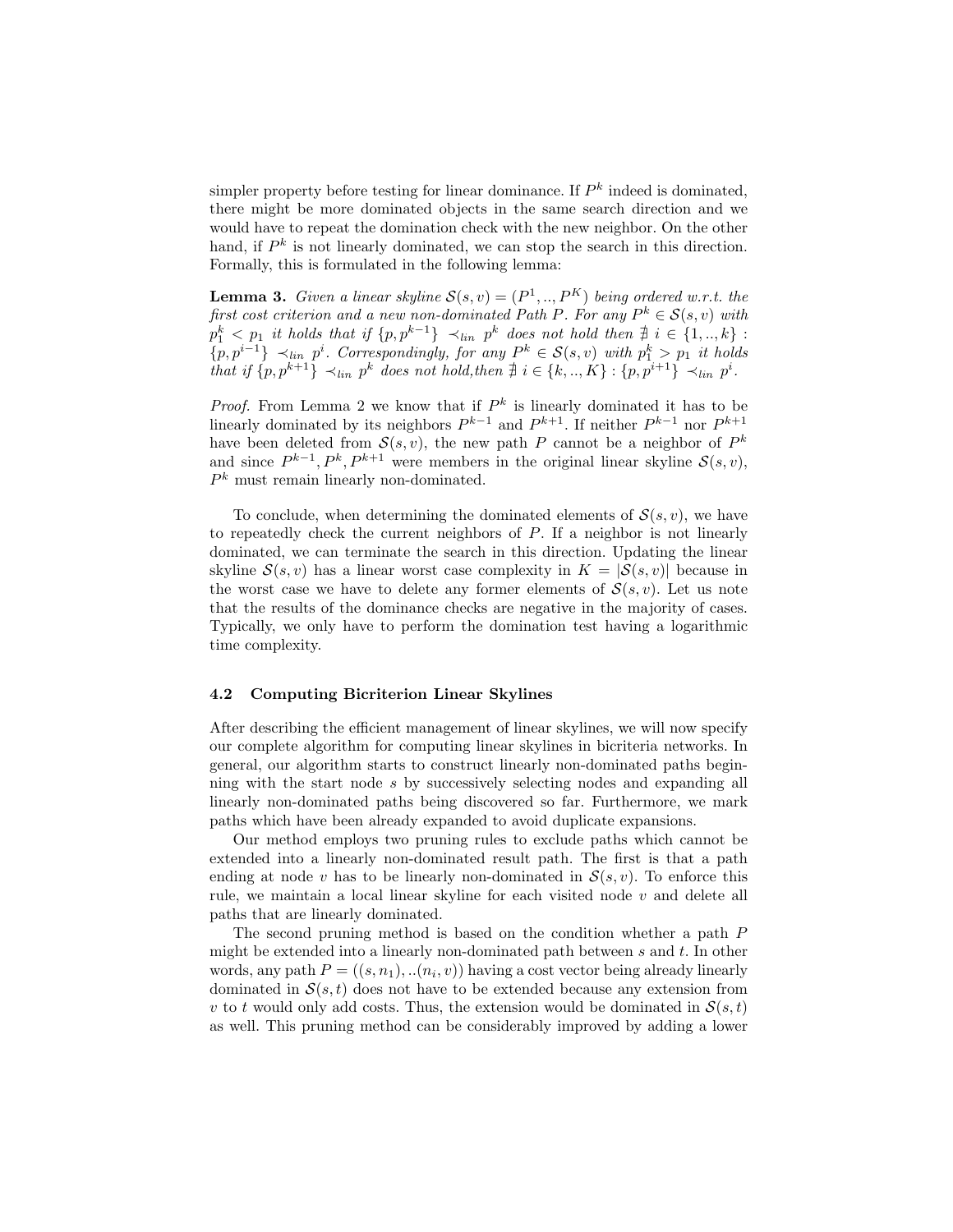simpler property before testing for linear dominance. If  $P<sup>k</sup>$  indeed is dominated, there might be more dominated objects in the same search direction and we would have to repeat the domination check with the new neighbor. On the other hand, if  $P^k$  is not linearly dominated, we can stop the search in this direction. Formally, this is formulated in the following lemma:

**Lemma 3.** Given a linear skyline  $S(s, v) = (P^1, ..., P^K)$  being ordered w.r.t. the first cost criterion and a new non-dominated Path P. For any  $P^k \in \mathcal{S}(s, v)$  with  $p_1^k < p_1$  it holds that if  $\{p, p^{k-1}\} \prec_{lin} p^k$  does not hold then  $\nexists i \in \{1, ..., k\}$ :  $\{p, p^{i-1}\}\prec_{lin} p^i$ . Correspondingly, for any  $P^k \in \mathcal{S}(s, v)$  with  $p_1^k > p_1$  it holds that if  $\{p, p^{k+1}\} \prec_{lin} p^k$  does not hold, then  $\nexists i \in \{k, ..., K\} : \{p, p^{i+1}\} \prec_{lin} p^i$ .

*Proof.* From Lemma 2 we know that if  $P^k$  is linearly dominated it has to be linearly dominated by its neighbors  $P^{k-1}$  and  $P^{k+1}$ . If neither  $P^{k-1}$  nor  $P^{k+1}$ have been deleted from  $\mathcal{S}(s, v)$ , the new path P cannot be a neighbor of  $P^k$ and since  $P^{k-1}, P^k, P^{k+1}$  were members in the original linear skyline  $\mathcal{S}(s, v)$ ,  $P<sup>k</sup>$  must remain linearly non-dominated.

To conclude, when determining the dominated elements of  $S(s, v)$ , we have to repeatedly check the current neighbors of  $P$ . If a neighbor is not linearly dominated, we can terminate the search in this direction. Updating the linear skyline  $S(s, v)$  has a linear worst case complexity in  $K = |S(s, v)|$  because in the worst case we have to delete any former elements of  $S(s, v)$ . Let us note that the results of the dominance checks are negative in the majority of cases. Typically, we only have to perform the domination test having a logarithmic time complexity.

#### 4.2 Computing Bicriterion Linear Skylines

After describing the efficient management of linear skylines, we will now specify our complete algorithm for computing linear skylines in bicriteria networks. In general, our algorithm starts to construct linearly non-dominated paths beginning with the start node s by successively selecting nodes and expanding all linearly non-dominated paths being discovered so far. Furthermore, we mark paths which have been already expanded to avoid duplicate expansions.

Our method employs two pruning rules to exclude paths which cannot be extended into a linearly non-dominated result path. The first is that a path ending at node v has to be linearly non-dominated in  $\mathcal{S}(s, v)$ . To enforce this rule, we maintain a local linear skyline for each visited node v and delete all paths that are linearly dominated.

The second pruning method is based on the condition whether a path P might be extended into a linearly non-dominated path between  $s$  and  $t$ . In other words, any path  $P = ((s, n_1), .. (n_i, v))$  having a cost vector being already linearly dominated in  $S(s,t)$  does not have to be extended because any extension from v to t would only add costs. Thus, the extension would be dominated in  $S(s,t)$ as well. This pruning method can be considerably improved by adding a lower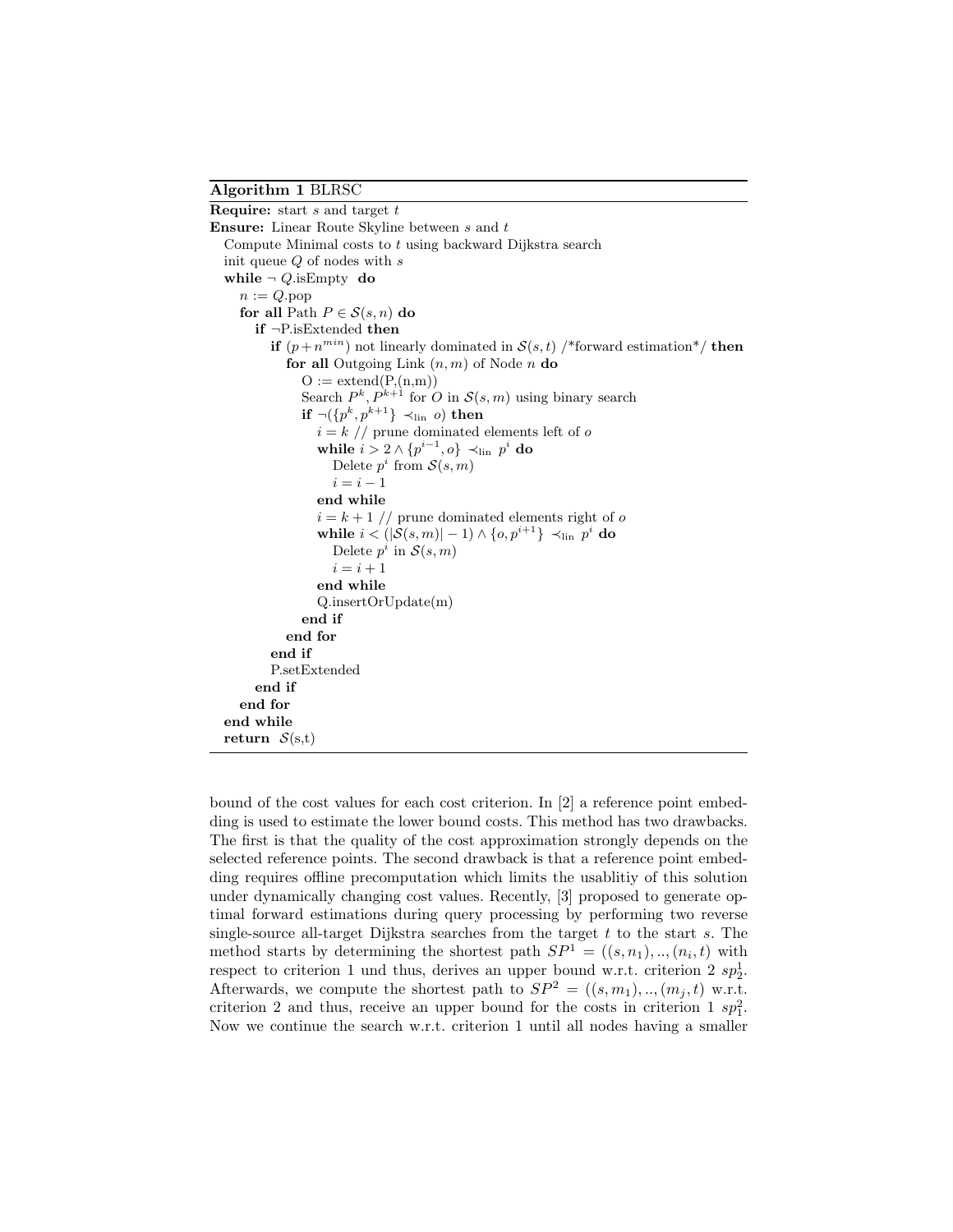#### Algorithm 1 BLRSC

**Require:** start  $s$  and target  $t$ Ensure: Linear Route Skyline between s and t Compute Minimal costs to t using backward Dijkstra search init queue Q of nodes with s while  $\neg Q$ .is Empty do  $n := Q$ .pop for all Path  $P \in \mathcal{S}(s, n)$  do if ¬P.isExtended then if  $(p+n^{min})$  not linearly dominated in  $S(s,t)$  /\*forward estimation\*/ then for all Outgoing Link  $(n,m)$  of Node  $n$  do  $O := \mathrm{extend}(P,(n,m))$ Search  $P^k, P^{k+1}$  for O in  $\mathcal{S}(s,m)$  using binary search  $\mathbf{if} \ \neg (\{p^{k}, p^{k+1}\} \ \prec_{\text{lin}} \ o) \ \mathbf{then}$  $i = k$  // prune dominated elements left of o while  $i > 2 \wedge \{p^{i-1}, o\} \prec_{\text{lin}} p^i$  do Delete  $p^i$  from  $\mathcal{S}(s,m)$  $i = i - 1$ end while  $i = k + 1$  // prune dominated elements right of o while  $i<(|\mathcal{S}(s,m)|-1)\wedge \{o,p^{i+1}\}\prec_{\text{\rm lin}} p^i$  do Delete  $p^i$  in  $\mathcal{S}(s,m)$  $i = i + 1$ end while Q.insertOrUpdate(m) end if end for end if P.setExtended end if end for end while return  $S(s,t)$ 

bound of the cost values for each cost criterion. In [2] a reference point embedding is used to estimate the lower bound costs. This method has two drawbacks. The first is that the quality of the cost approximation strongly depends on the selected reference points. The second drawback is that a reference point embedding requires offline precomputation which limits the usablitiy of this solution under dynamically changing cost values. Recently, [3] proposed to generate optimal forward estimations during query processing by performing two reverse single-source all-target Dijkstra searches from the target  $t$  to the start  $s$ . The method starts by determining the shortest path  $SP^1 = ((s, n_1), ..., (n_i, t)$  with respect to criterion 1 und thus, derives an upper bound w.r.t. criterion 2  $sp_2^1$ . Afterwards, we compute the shortest path to  $SP^2 = ((s, m_1), ..., (m_i, t) \text{ w.r.t.})$ criterion 2 and thus, receive an upper bound for the costs in criterion 1  $sp_1^2$ . Now we continue the search w.r.t. criterion 1 until all nodes having a smaller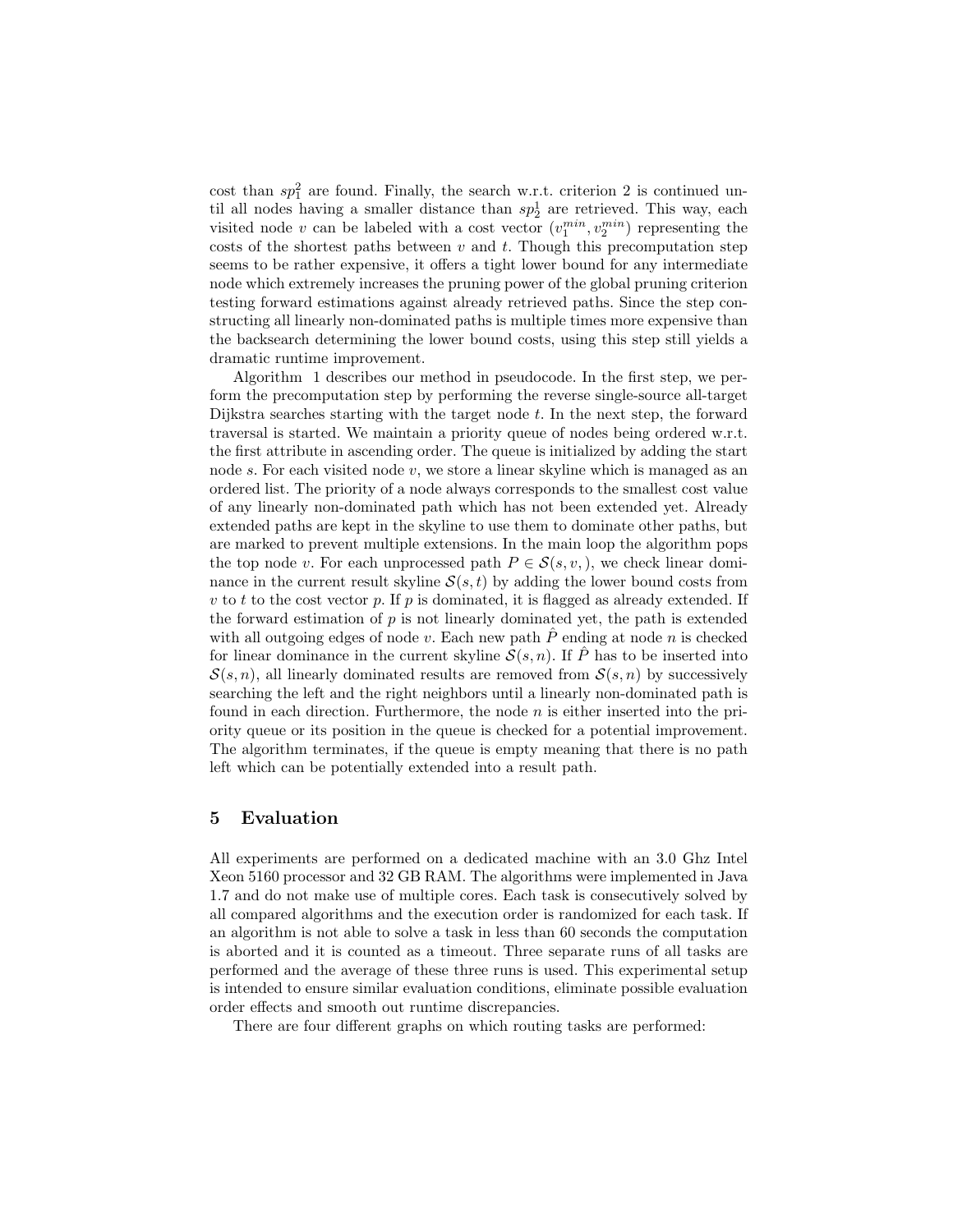cost than  $sp_1^2$  are found. Finally, the search w.r.t. criterion 2 is continued until all nodes having a smaller distance than  $sp_2^1$  are retrieved. This way, each visited node v can be labeled with a cost vector  $(v_1^{min}, v_2^{min})$  representing the costs of the shortest paths between  $v$  and  $t$ . Though this precomputation step seems to be rather expensive, it offers a tight lower bound for any intermediate node which extremely increases the pruning power of the global pruning criterion testing forward estimations against already retrieved paths. Since the step constructing all linearly non-dominated paths is multiple times more expensive than the backsearch determining the lower bound costs, using this step still yields a dramatic runtime improvement.

Algorithm 1 describes our method in pseudocode. In the first step, we perform the precomputation step by performing the reverse single-source all-target Dijkstra searches starting with the target node t. In the next step, the forward traversal is started. We maintain a priority queue of nodes being ordered w.r.t. the first attribute in ascending order. The queue is initialized by adding the start node s. For each visited node v, we store a linear skyline which is managed as an ordered list. The priority of a node always corresponds to the smallest cost value of any linearly non-dominated path which has not been extended yet. Already extended paths are kept in the skyline to use them to dominate other paths, but are marked to prevent multiple extensions. In the main loop the algorithm pops the top node v. For each unprocessed path  $P \in \mathcal{S}(s, v, \mathcal{C})$ , we check linear dominance in the current result skyline  $S(s, t)$  by adding the lower bound costs from v to t to the cost vector p. If p is dominated, it is flagged as already extended. If the forward estimation of  $p$  is not linearly dominated yet, the path is extended with all outgoing edges of node v. Each new path  $\hat{P}$  ending at node n is checked for linear dominance in the current skyline  $\mathcal{S}(s,n)$ . If P has to be inserted into  $S(s, n)$ , all linearly dominated results are removed from  $S(s, n)$  by successively searching the left and the right neighbors until a linearly non-dominated path is found in each direction. Furthermore, the node  $n$  is either inserted into the priority queue or its position in the queue is checked for a potential improvement. The algorithm terminates, if the queue is empty meaning that there is no path left which can be potentially extended into a result path.

# 5 Evaluation

All experiments are performed on a dedicated machine with an 3.0 Ghz Intel Xeon 5160 processor and 32 GB RAM. The algorithms were implemented in Java 1.7 and do not make use of multiple cores. Each task is consecutively solved by all compared algorithms and the execution order is randomized for each task. If an algorithm is not able to solve a task in less than 60 seconds the computation is aborted and it is counted as a timeout. Three separate runs of all tasks are performed and the average of these three runs is used. This experimental setup is intended to ensure similar evaluation conditions, eliminate possible evaluation order effects and smooth out runtime discrepancies.

There are four different graphs on which routing tasks are performed: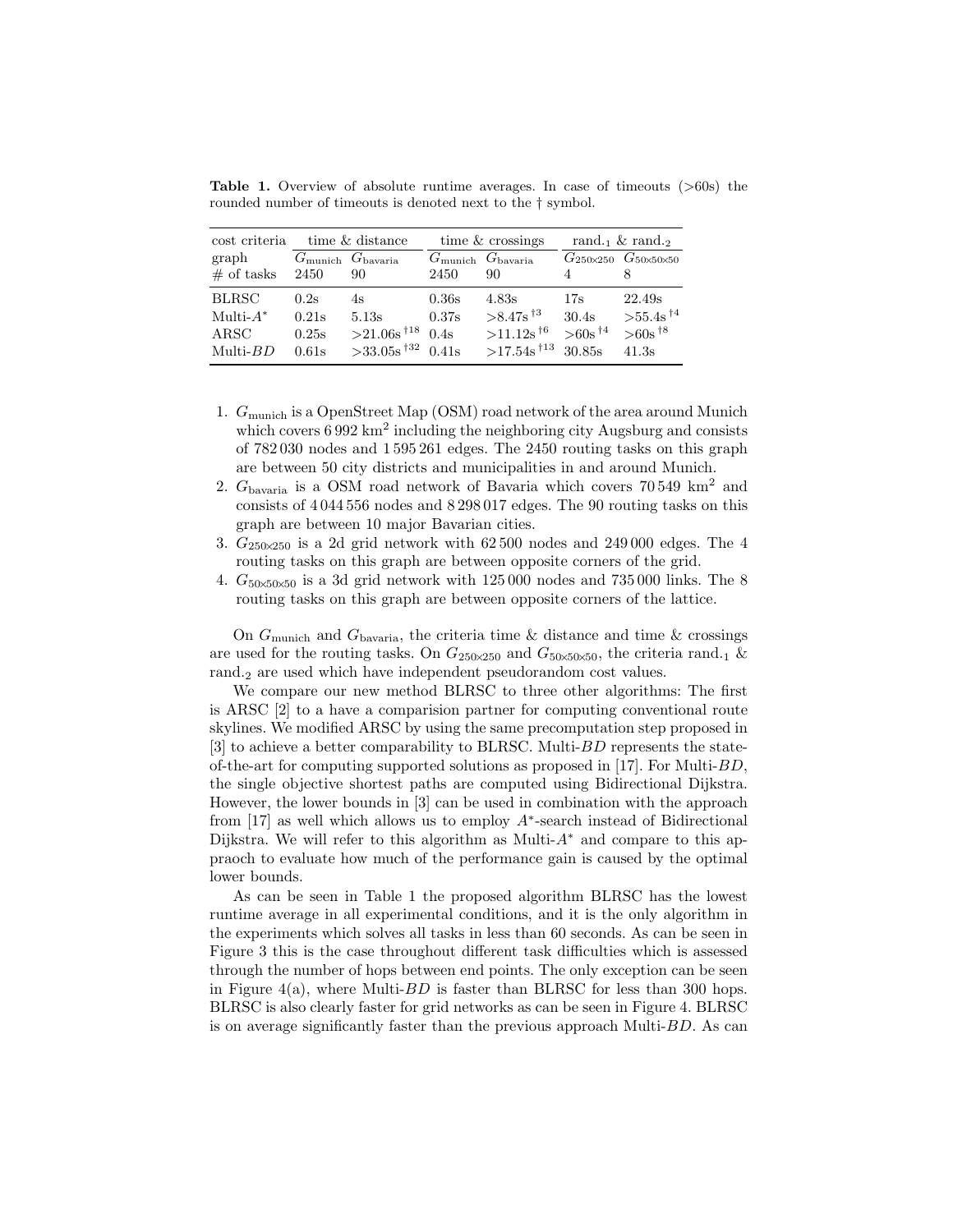Table 1. Overview of absolute runtime averages. In case of timeouts (>60s) the rounded number of timeouts is denoted next to the † symbol.

| cost criteria | time & distance                          |                                                   | time & crossings |                                             | rand. $_1$ & rand. $_2$ |                                             |
|---------------|------------------------------------------|---------------------------------------------------|------------------|---------------------------------------------|-------------------------|---------------------------------------------|
| graph         | $G_{\text{munich}}$ $G_{\text{bavaria}}$ |                                                   |                  | $G_{\text{munich}}$ $G_{\text{bavaria}}$    |                         | $G_{250\times250}$ $G_{50\times50\times50}$ |
| $\#$ of tasks | 2450                                     | 90                                                | 2450             | 90.                                         |                         |                                             |
| <b>BLRSC</b>  | 0.2s                                     | 4s                                                | 0.36s            | 4.83s                                       | 17s                     | 22.49s                                      |
| Multi- $A^*$  | 0.21s                                    | 5.13s                                             | 0.37s            | $>8.47s$ <sup>†3</sup>                      | 30.4s                   | $>55.4s$ <sup>†4</sup>                      |
| ARSC          | 0.25s                                    | $>$ 21.06s <sup>†18</sup>                         | 0.4s             | $>11.12s$ <sup>†6</sup>                     | $>60s$ <sup>†4</sup>    | $>60s$ <sup>†8</sup>                        |
| Multi- $BD$   | 0.61s                                    | $>33.05s$ <sup><math>\dagger</math>32</sup> 0.41s |                  | $>17.54s$ <sup><math>\dagger</math>13</sup> | 30.85s                  | 41.3s                                       |

- 1. Gmunich is a OpenStreet Map (OSM) road network of the area around Munich which covers  $6\,992\ \mathrm{km^2}$  including the neighboring city Augsburg and consists of 782 030 nodes and 1 595 261 edges. The 2450 routing tasks on this graph are between 50 city districts and municipalities in and around Munich.
- 2.  $G<sub>bavaria</sub>$  is a OSM road network of Bavaria which covers 70 549 km<sup>2</sup> and consists of 4 044 556 nodes and 8 298 017 edges. The 90 routing tasks on this graph are between 10 major Bavarian cities.
- 3.  $G_{250\times250}$  is a 2d grid network with 62500 nodes and 249000 edges. The 4 routing tasks on this graph are between opposite corners of the grid.
- 4.  $G_{50\times50\times50}$  is a 3d grid network with 125 000 nodes and 735 000 links. The 8 routing tasks on this graph are between opposite corners of the lattice.

On  $G_{\text{munich}}$  and  $G_{\text{bavaria}}$ , the criteria time & distance and time & crossings are used for the routing tasks. On  $G_{250\times250}$  and  $G_{50\times50\times50}$ , the criteria rand.<sub>1</sub> & rand.<sub>2</sub> are used which have independent pseudorandom cost values.

We compare our new method BLRSC to three other algorithms: The first is ARSC [2] to a have a comparision partner for computing conventional route skylines. We modified ARSC by using the same precomputation step proposed in [3] to achieve a better comparability to BLRSC. Multi- $BD$  represents the stateof-the-art for computing supported solutions as proposed in [17]. For Multi-BD, the single objective shortest paths are computed using Bidirectional Dijkstra. However, the lower bounds in [3] can be used in combination with the approach from [17] as well which allows us to employ A<sup>∗</sup> -search instead of Bidirectional Dijkstra. We will refer to this algorithm as Multi- $A^*$  and compare to this appraoch to evaluate how much of the performance gain is caused by the optimal lower bounds.

As can be seen in Table 1 the proposed algorithm BLRSC has the lowest runtime average in all experimental conditions, and it is the only algorithm in the experiments which solves all tasks in less than 60 seconds. As can be seen in Figure 3 this is the case throughout different task difficulties which is assessed through the number of hops between end points. The only exception can be seen in Figure 4(a), where Multi- $BD$  is faster than BLRSC for less than 300 hops. BLRSC is also clearly faster for grid networks as can be seen in Figure 4. BLRSC is on average significantly faster than the previous approach Multi-BD. As can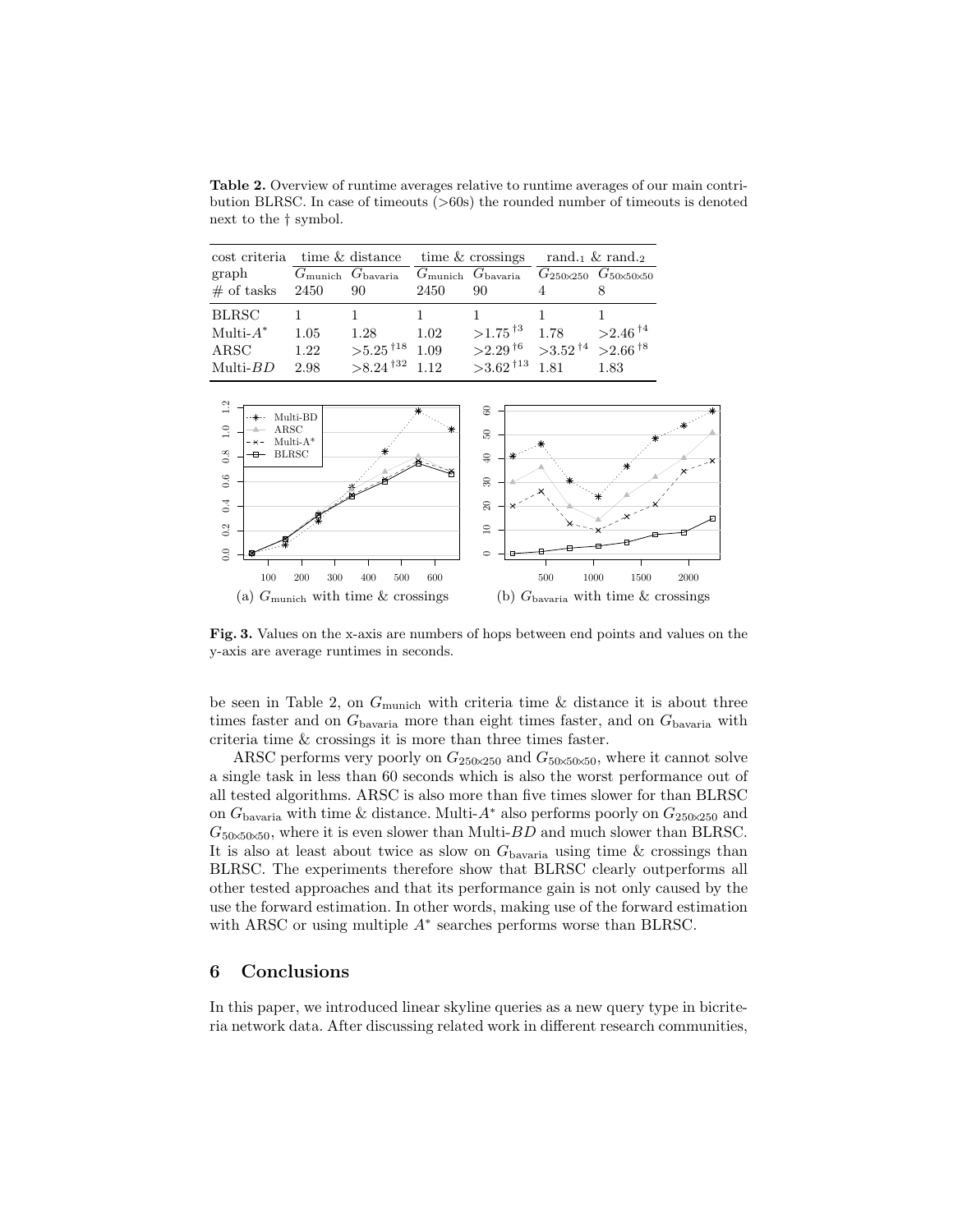Table 2. Overview of runtime averages relative to runtime averages of our main contribution BLRSC. In case of timeouts  $(>\,60s)$  the rounded number of timeouts is denoted next to the † symbol.

|                       |              |                                                | cost criteria time & distance time & crossings rand. $\frac{1}{2}$ k rand. |                                                |          |                                             |
|-----------------------|--------------|------------------------------------------------|----------------------------------------------------------------------------|------------------------------------------------|----------|---------------------------------------------|
| graph                 |              | $G_{\text{munich}}$ $G_{\text{bavaria}}$       |                                                                            | $G_{\text{munich}}$ $G_{\text{bavaria}}$       |          | $G_{250\times250}$ $G_{50\times50\times50}$ |
| $\#$ of tasks         | 2450 90      |                                                | 2450                                                                       | 90 -                                           |          |                                             |
| BLRSC                 | $\mathbf{1}$ |                                                | $\sim$ 1                                                                   |                                                | $\sim$ 1 |                                             |
| Multi- $A^*$          | 1.05         | 1.28                                           | 1.02                                                                       | $>1.75^{+3}$ 1.78                              |          | $>2.46^{+4}$                                |
| $\operatorname{ARSC}$ | 1.22         | $>5.25$ <sup><math>\dagger</math>18</sup> 1.09 |                                                                            | $>2.29^{6}$ $>3.52^{4}$ $>2.66^{48}$           |          |                                             |
| Multi- $BD$           | 2.98         | $>8.24$ <sup>+32</sup> 1.12                    |                                                                            | $>3.62$ <sup><math>\dagger</math>13</sup> 1.81 |          | 1.83                                        |



Fig. 3. Values on the x-axis are numbers of hops between end points and values on the y-axis are average runtimes in seconds.

be seen in Table 2, on  $G_{\text{munich}}$  with criteria time  $\&$  distance it is about three times faster and on  $G<sub>bavaria</sub>$  more than eight times faster, and on  $G<sub>bavaria</sub>$  with criteria time & crossings it is more than three times faster.

ARSC performs very poorly on  $G_{250\times250}$  and  $G_{50\times50\times50}$ , where it cannot solve a single task in less than 60 seconds which is also the worst performance out of all tested algorithms. ARSC is also more than five times slower for than BLRSC on  $G_{\text{bavaria}}$  with time & distance. Multi- $A^*$  also performs poorly on  $G_{250\times250}$  and  $G_{50\times50\times50}$ , where it is even slower than Multi-BD and much slower than BLRSC. It is also at least about twice as slow on  $G<sub>bavaria</sub>$  using time & crossings than BLRSC. The experiments therefore show that BLRSC clearly outperforms all other tested approaches and that its performance gain is not only caused by the use the forward estimation. In other words, making use of the forward estimation with ARSC or using multiple  $A^*$  searches performs worse than BLRSC.

### 6 Conclusions

In this paper, we introduced linear skyline queries as a new query type in bicriteria network data. After discussing related work in different research communities,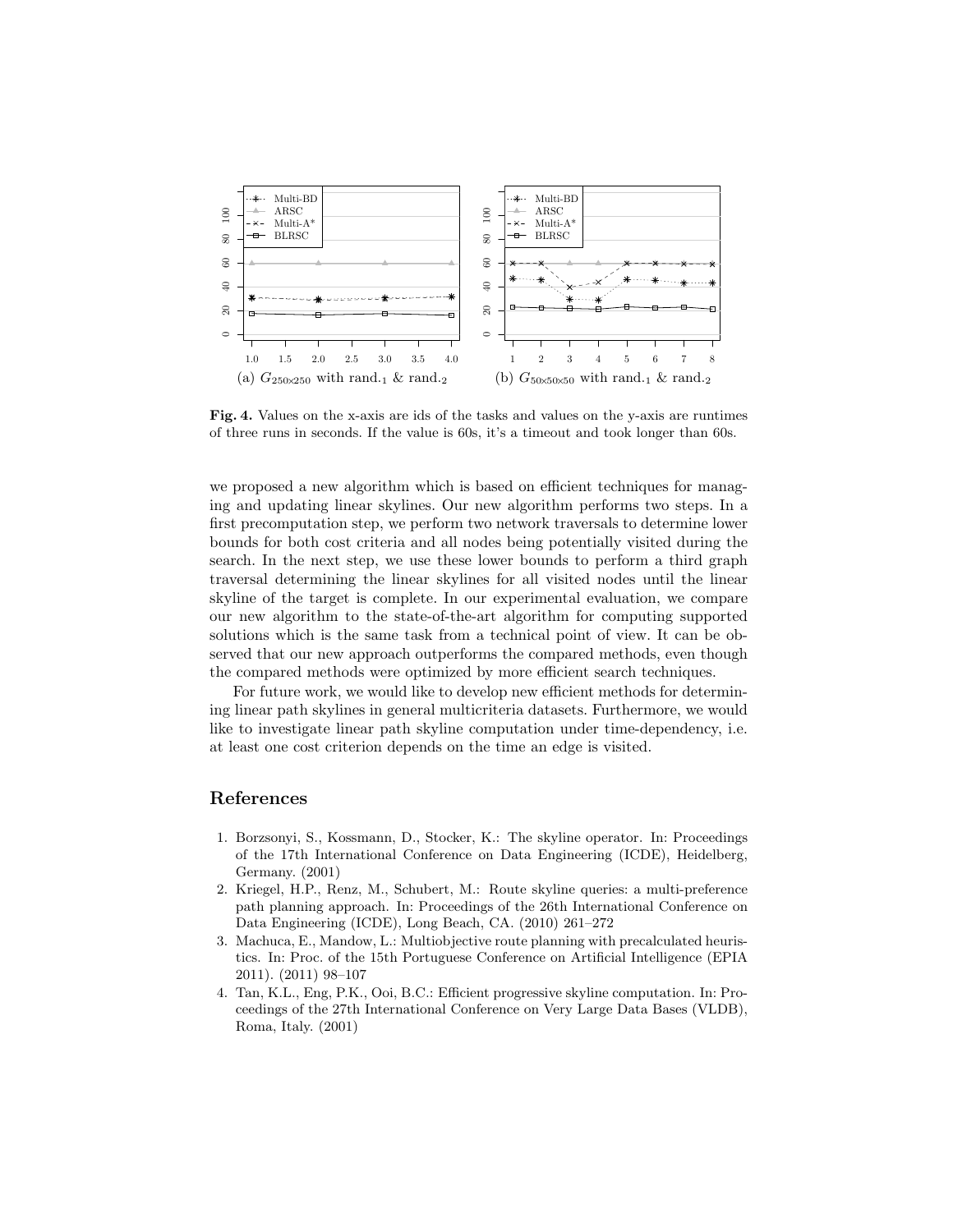

Fig. 4. Values on the x-axis are ids of the tasks and values on the y-axis are runtimes of three runs in seconds. If the value is 60s, it's a timeout and took longer than 60s.

we proposed a new algorithm which is based on efficient techniques for managing and updating linear skylines. Our new algorithm performs two steps. In a first precomputation step, we perform two network traversals to determine lower bounds for both cost criteria and all nodes being potentially visited during the search. In the next step, we use these lower bounds to perform a third graph traversal determining the linear skylines for all visited nodes until the linear skyline of the target is complete. In our experimental evaluation, we compare our new algorithm to the state-of-the-art algorithm for computing supported solutions which is the same task from a technical point of view. It can be observed that our new approach outperforms the compared methods, even though the compared methods were optimized by more efficient search techniques.

For future work, we would like to develop new efficient methods for determining linear path skylines in general multicriteria datasets. Furthermore, we would like to investigate linear path skyline computation under time-dependency, i.e. at least one cost criterion depends on the time an edge is visited.

# References

- 1. Borzsonyi, S., Kossmann, D., Stocker, K.: The skyline operator. In: Proceedings of the 17th International Conference on Data Engineering (ICDE), Heidelberg, Germany. (2001)
- 2. Kriegel, H.P., Renz, M., Schubert, M.: Route skyline queries: a multi-preference path planning approach. In: Proceedings of the 26th International Conference on Data Engineering (ICDE), Long Beach, CA. (2010) 261–272
- 3. Machuca, E., Mandow, L.: Multiobjective route planning with precalculated heuristics. In: Proc. of the 15th Portuguese Conference on Artificial Intelligence (EPIA 2011). (2011) 98–107
- 4. Tan, K.L., Eng, P.K., Ooi, B.C.: Efficient progressive skyline computation. In: Proceedings of the 27th International Conference on Very Large Data Bases (VLDB), Roma, Italy. (2001)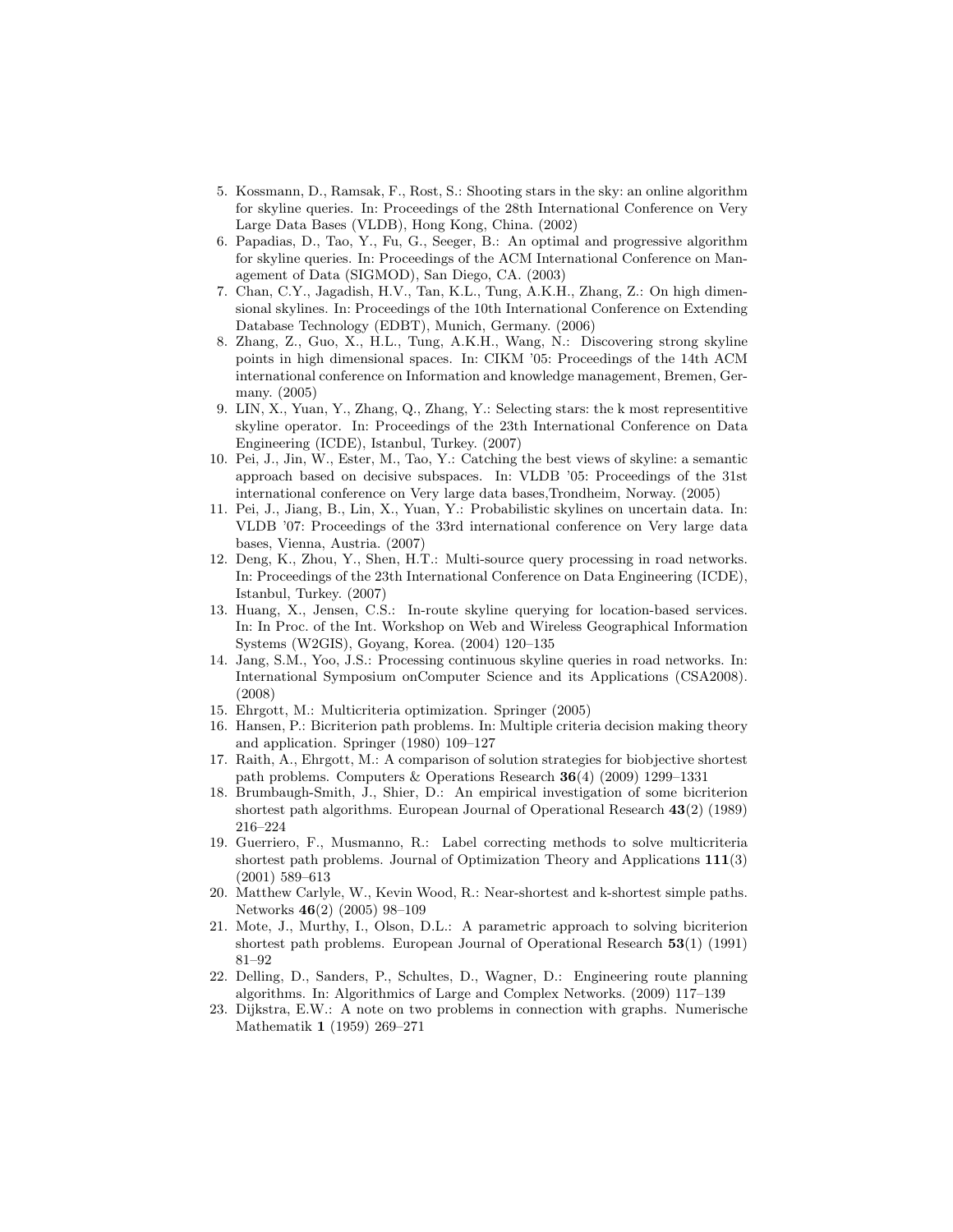- 5. Kossmann, D., Ramsak, F., Rost, S.: Shooting stars in the sky: an online algorithm for skyline queries. In: Proceedings of the 28th International Conference on Very Large Data Bases (VLDB), Hong Kong, China. (2002)
- 6. Papadias, D., Tao, Y., Fu, G., Seeger, B.: An optimal and progressive algorithm for skyline queries. In: Proceedings of the ACM International Conference on Management of Data (SIGMOD), San Diego, CA. (2003)
- 7. Chan, C.Y., Jagadish, H.V., Tan, K.L., Tung, A.K.H., Zhang, Z.: On high dimensional skylines. In: Proceedings of the 10th International Conference on Extending Database Technology (EDBT), Munich, Germany. (2006)
- 8. Zhang, Z., Guo, X., H.L., Tung, A.K.H., Wang, N.: Discovering strong skyline points in high dimensional spaces. In: CIKM '05: Proceedings of the 14th ACM international conference on Information and knowledge management, Bremen, Germany. (2005)
- 9. LIN, X., Yuan, Y., Zhang, Q., Zhang, Y.: Selecting stars: the k most representitive skyline operator. In: Proceedings of the 23th International Conference on Data Engineering (ICDE), Istanbul, Turkey. (2007)
- 10. Pei, J., Jin, W., Ester, M., Tao, Y.: Catching the best views of skyline: a semantic approach based on decisive subspaces. In: VLDB '05: Proceedings of the 31st international conference on Very large data bases,Trondheim, Norway. (2005)
- 11. Pei, J., Jiang, B., Lin, X., Yuan, Y.: Probabilistic skylines on uncertain data. In: VLDB '07: Proceedings of the 33rd international conference on Very large data bases, Vienna, Austria. (2007)
- 12. Deng, K., Zhou, Y., Shen, H.T.: Multi-source query processing in road networks. In: Proceedings of the 23th International Conference on Data Engineering (ICDE), Istanbul, Turkey. (2007)
- 13. Huang, X., Jensen, C.S.: In-route skyline querying for location-based services. In: In Proc. of the Int. Workshop on Web and Wireless Geographical Information Systems (W2GIS), Goyang, Korea. (2004) 120–135
- 14. Jang, S.M., Yoo, J.S.: Processing continuous skyline queries in road networks. In: International Symposium onComputer Science and its Applications (CSA2008). (2008)
- 15. Ehrgott, M.: Multicriteria optimization. Springer (2005)
- 16. Hansen, P.: Bicriterion path problems. In: Multiple criteria decision making theory and application. Springer (1980) 109–127
- 17. Raith, A., Ehrgott, M.: A comparison of solution strategies for biobjective shortest path problems. Computers & Operations Research  $36(4)$  (2009) 1299–1331
- 18. Brumbaugh-Smith, J., Shier, D.: An empirical investigation of some bicriterion shortest path algorithms. European Journal of Operational Research 43(2) (1989) 216–224
- 19. Guerriero, F., Musmanno, R.: Label correcting methods to solve multicriteria shortest path problems. Journal of Optimization Theory and Applications 111(3) (2001) 589–613
- 20. Matthew Carlyle, W., Kevin Wood, R.: Near-shortest and k-shortest simple paths. Networks 46(2) (2005) 98–109
- 21. Mote, J., Murthy, I., Olson, D.L.: A parametric approach to solving bicriterion shortest path problems. European Journal of Operational Research 53(1) (1991) 81–92
- 22. Delling, D., Sanders, P., Schultes, D., Wagner, D.: Engineering route planning algorithms. In: Algorithmics of Large and Complex Networks. (2009) 117–139
- 23. Dijkstra, E.W.: A note on two problems in connection with graphs. Numerische Mathematik 1 (1959) 269–271